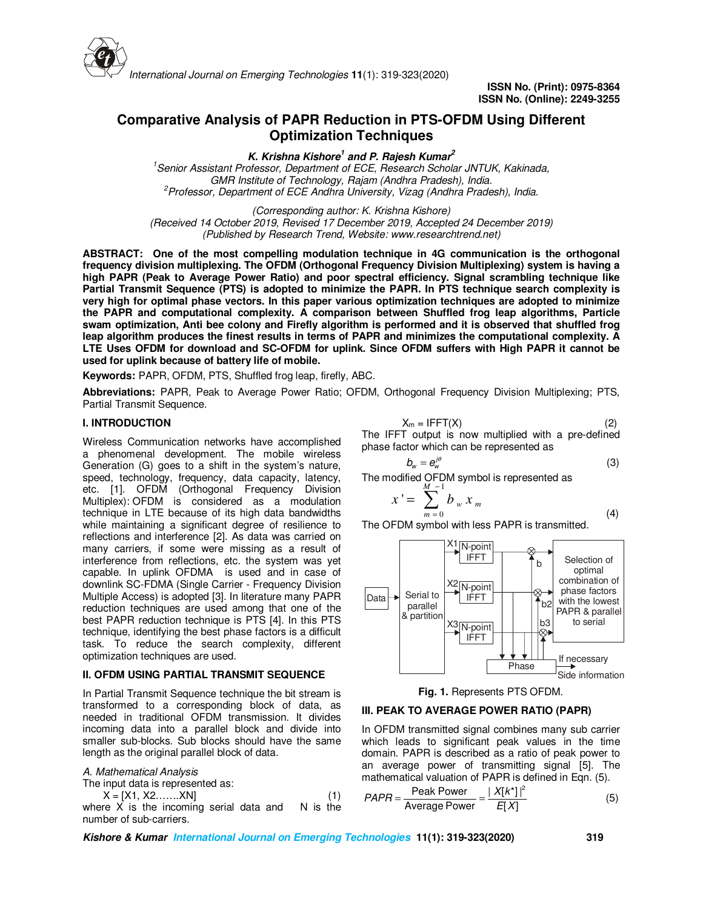

# **Comparative Analysis of PAPR Reduction in PTS-OFDM Using Different Optimization Techniques**

**K. Krishna Kishore<sup>1</sup> and P. Rajesh Kumar<sup>2</sup>**

*<sup>1</sup>Senior Assistant Professor, Department of ECE, Research Scholar JNTUK, Kakinada, GMR Institute of Technology, Rajam (Andhra Pradesh), India. <sup>2</sup>Professor, Department of ECE Andhra University, Vizag (Andhra Pradesh), India.*

*(Corresponding author: K. Krishna Kishore) (Received 14 October 2019, Revised 17 December 2019, Accepted 24 December 2019) (Published by Research Trend, Website: www.researchtrend.net)*

**ABSTRACT: One of the most compelling modulation technique in 4G communication is the orthogonal frequency division multiplexing. The OFDM (Orthogonal Frequency Division Multiplexing) system is having a high PAPR (Peak to Average Power Ratio) and poor spectral efficiency. Signal scrambling technique like Partial Transmit Sequence (PTS) is adopted to minimize the PAPR. In PTS technique search complexity is very high for optimal phase vectors. In this paper various optimization techniques are adopted to minimize the PAPR and computational complexity. A comparison between Shuffled frog leap algorithms, Particle swam optimization, Anti bee colony and Firefly algorithm is performed and it is observed that shuffled frog leap algorithm produces the finest results in terms of PAPR and minimizes the computational complexity. A LTE Uses OFDM for download and SC-OFDM for uplink. Since OFDM suffers with High PAPR it cannot be used for uplink because of battery life of mobile.** 

**Keywords:** PAPR, OFDM, PTS, Shuffled frog leap, firefly, ABC.

**Abbreviations:** PAPR, Peak to Average Power Ratio; OFDM, Orthogonal Frequency Division Multiplexing; PTS, Partial Transmit Sequence.

### **I. INTRODUCTION**

Wireless Communication networks have accomplished a phenomenal development. The mobile wireless Generation (G) goes to a shift in the system's nature, speed, technology, frequency, data capacity, latency, etc. [1]. OFDM (Orthogonal Frequency Division Multiplex): OFDM is considered as a modulation technique in LTE because of its high data bandwidths while maintaining a significant degree of resilience to reflections and interference [2]. As data was carried on many carriers, if some were missing as a result of interference from reflections, etc. the system was yet capable. In uplink OFDMA is used and in case of downlink SC-FDMA (Single Carrier - Frequency Division Multiple Access) is adopted [3]. In literature many PAPR reduction techniques are used among that one of the best PAPR reduction technique is PTS [4]. In this PTS technique, identifying the best phase factors is a difficult task. To reduce the search complexity, different optimization techniques are used.

#### **II. OFDM USING PARTIAL TRANSMIT SEQUENCE**

In Partial Transmit Sequence technique the bit stream is transformed to a corresponding block of data, as needed in traditional OFDM transmission. It divides incoming data into a parallel block and divide into smaller sub-blocks. Sub blocks should have the same length as the original parallel block of data.

*A. Mathematical Analysis* 

The input data is represented as:

 $X = [X1, X2, \ldots, XN]$ <br>re X is the incoming serial data and N is the where  $X$  is the incoming serial data and

number of sub-carriers.

$$
X_m = IFFT(X)
$$
 (2)

The IFFT output is now multiplied with a pre-defined phase factor which can be represented as

$$
b_w = e_w^{j\theta} \tag{3}
$$

The modified OFDM symbol is represented as ∑ − 1 *M* '

$$
x' = \sum_{m=0}^{n} b_w x_m
$$
\n
$$
x = \sum_{m=0}^{n} b_w x_m
$$
\n
$$
(4)
$$

The OFDM symbol with less PAPR is transmitted.





#### **III. PEAK TO AVERAGE POWER RATIO (PAPR)**

In OFDM transmitted signal combines many sub carrier which leads to significant peak values in the time domain. PAPR is described as a ratio of peak power to an average power of transmitting signal [5]. The mathematical valuation of PAPR is defined in Eqn. (5).

$$
PAPR = \frac{\text{Peak Power}}{\text{Average Power}} = \frac{|X[k^*]|^2}{E[X]}
$$
 (5)

**Kishore & Kumar International Journal on Emerging Technologies 11(1): 319-323(2020) 319**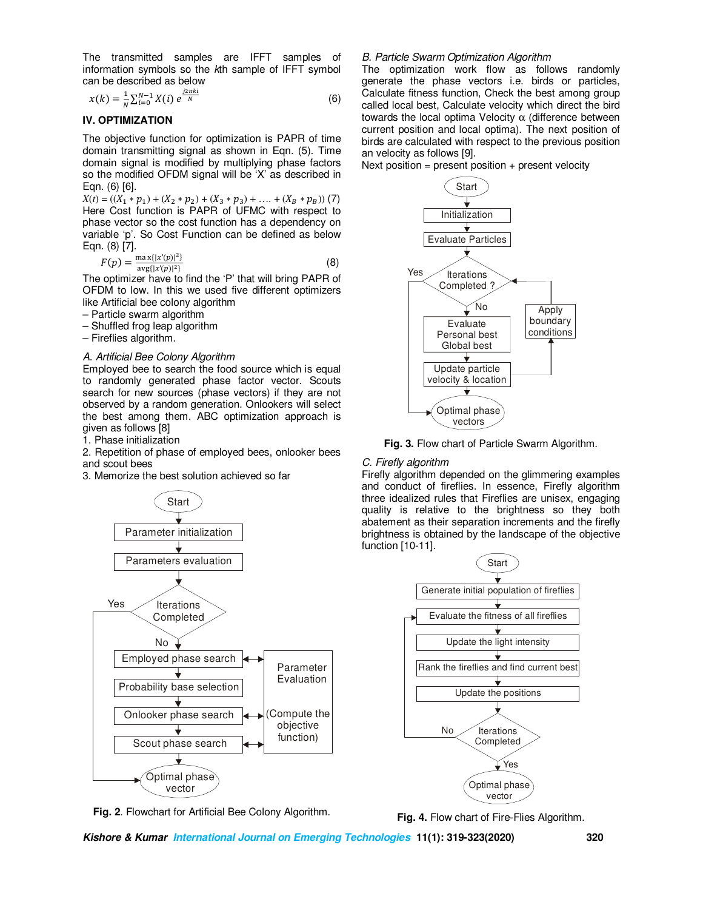The transmitted samples are IFFT samples of information symbols so the *k*th sample of IFFT symbol can be described as below

$$
x(k) = \frac{1}{N} \sum_{i=0}^{N-1} X(i) e^{\frac{j2\pi ki}{N}}
$$
 (6)

## **IV. OPTIMIZATION**

The objective function for optimization is PAPR of time domain transmitting signal as shown in Eqn. (5). Time domain signal is modified by multiplying phase factors so the modified OFDM signal will be 'X' as described in Eqn. (6) [6].

 $X(t) = ((X_1 * p_1) + (X_2 * p_2) + (X_3 * p_3) + \dots + (X_B * p_B))$  (7) Here Cost function is PAPR of UFMC with respect to phase vector so the cost function has a dependency on variable 'p'. So Cost Function can be defined as below Eqn. (8) [7].

$$
F(p) = \frac{\max\{|x'(p)|^2\}}{\arg\{|x'(p)|^2\}}
$$
 (8)

The optimizer have to find the 'P' that will bring PAPR of OFDM to low. In this we used five different optimizers like Artificial bee colony algorithm

- Particle swarm algorithm
- Shuffled frog leap algorithm
- Fireflies algorithm.

#### *A. Artificial Bee Colony Algorithm*

Employed bee to search the food source which is equal to randomly generated phase factor vector. Scouts search for new sources (phase vectors) if they are not observed by a random generation. Onlookers will select the best among them. ABC optimization approach is given as follows [8]

1. Phase initialization

2. Repetition of phase of employed bees, onlooker bees and scout bees

3. Memorize the best solution achieved so far



**Fig. 2**. Flowchart for Artificial Bee Colony Algorithm.

#### *B. Particle Swarm Optimization Algorithm*

The optimization work flow as follows randomly generate the phase vectors i.e. birds or particles, Calculate fitness function, Check the best among group called local best, Calculate velocity which direct the bird towards the local optima Velocity α (difference between current position and local optima). The next position of birds are calculated with respect to the previous position an velocity as follows [9].

Next position = present position + present velocity



**Fig. 3.** Flow chart of Particle Swarm Algorithm.

#### *C. Firefly algorithm*

Firefly algorithm depended on the glimmering examples and conduct of fireflies. In essence, Firefly algorithm three idealized rules that Fireflies are unisex, engaging quality is relative to the brightness so they both abatement as their separation increments and the firefly brightness is obtained by the landscape of the objective function [10-11].



**Fig. 4.** Flow chart of Fire-Flies Algorithm.

**Kishore & Kumar International Journal on Emerging Technologies 11(1): 319-323(2020) 320**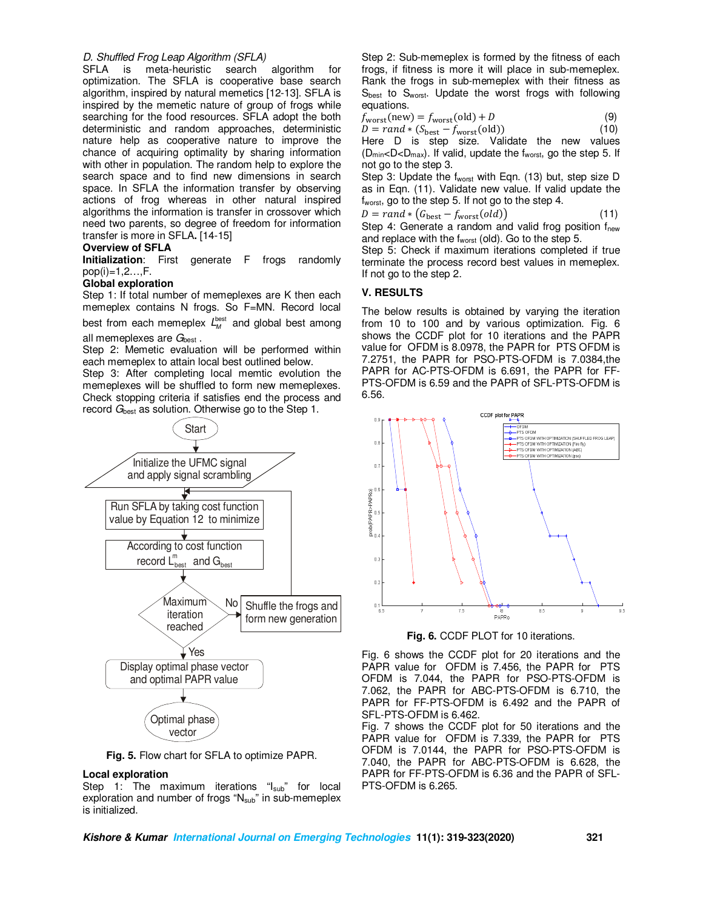### *D. Shuffled Frog Leap Algorithm (SFLA)*

SFLA is meta-heuristic search algorithm for optimization. The SFLA is cooperative base search algorithm, inspired by natural memetics [12-13]. SFLA is inspired by the memetic nature of group of frogs while searching for the food resources. SFLA adopt the both deterministic and random approaches, deterministic nature help as cooperative nature to improve the chance of acquiring optimality by sharing information with other in population. The random help to explore the search space and to find new dimensions in search space. In SFLA the information transfer by observing actions of frog whereas in other natural inspired algorithms the information is transfer in crossover which need two parents, so degree of freedom for information transfer is more in SFLA**.** [14-15]

#### **Overview of SFLA**

**Initialization**: First generate F frogs randomly pop(i)=1,2…,F.

## **Global exploration**

Step 1: If total number of memeplexes are K then each memeplex contains N frogs. So F=MN. Record local

best from each memeplex  $L_M^{\text{best}}$  and global best among all memeplexes are G<sub>best</sub>.

Step 2: Memetic evaluation will be performed within each memeplex to attain local best outlined below.

Step 3: After completing local memtic evolution the memeplexes will be shuffled to form new memeplexes. Check stopping criteria if satisfies end the process and record *G*<sub>best</sub> as solution. Otherwise go to the Step 1.



**Fig. 5.** Flow chart for SFLA to optimize PAPR.

#### **Local exploration**

Step 1: The maximum iterations "I<sub>sub</sub>" for local exploration and number of frogs "N<sub>sub</sub>" in sub-memeplex is initialized.

Step 2: Sub-memeplex is formed by the fitness of each frogs, if fitness is more it will place in sub-memeplex. Rank the frogs in sub-memeplex with their fitness as Sbest to Sworst. Update the worst frogs with following equations.

$$
f_{\text{worst}}(\text{new}) = f_{\text{worst}}(\text{old}) + D \tag{9}
$$

 $D = rand * (S_{\text{best}} - f_{\text{worst}}(\text{old}))$  (10)

Here D is step size. Validate the new values  $(D_{\text{min}} < D < D_{\text{max}})$ . If valid, update the f<sub>worst</sub>, go the step 5. If not go to the step 3.

Step 3: Update the fworst with Eqn. (13) but, step size D as in Eqn. (11). Validate new value. If valid update the f<sub>worst</sub>, go to the step 5. If not go to the step 4.

$$
D = rand * (G_{\text{best}} - f_{\text{worst}}(old))
$$
\n(11)

Step 4: Generate a random and valid frog position f<sub>new</sub> and replace with the fworst (old). Go to the step 5.

Step 5: Check if maximum iterations completed if true terminate the process record best values in memeplex. If not go to the step 2.

### **V. RESULTS**

The below results is obtained by varying the iteration from 10 to 100 and by various optimization. Fig. 6 shows the CCDF plot for 10 iterations and the PAPR value for OFDM is 8.0978, the PAPR for PTS OFDM is 7.2751, the PAPR for PSO-PTS-OFDM is 7.0384,the PAPR for AC-PTS-OFDM is 6.691, the PAPR for FF-PTS-OFDM is 6.59 and the PAPR of SFL-PTS-OFDM is 6.56.



**Fig. 6.** CCDF PLOT for 10 iterations.

Fig. 6 shows the CCDF plot for 20 iterations and the PAPR value for OFDM is 7.456, the PAPR for PTS OFDM is 7.044, the PAPR for PSO-PTS-OFDM is 7.062, the PAPR for ABC-PTS-OFDM is 6.710, the PAPR for FF-PTS-OFDM is 6.492 and the PAPR of SFL-PTS-OFDM is 6.462.

Fig. 7 shows the CCDF plot for 50 iterations and the PAPR value for OFDM is 7.339, the PAPR for PTS OFDM is 7.0144, the PAPR for PSO-PTS-OFDM is 7.040, the PAPR for ABC-PTS-OFDM is 6.628, the PAPR for FF-PTS-OFDM is 6.36 and the PAPR of SFL-PTS-OFDM is 6.265.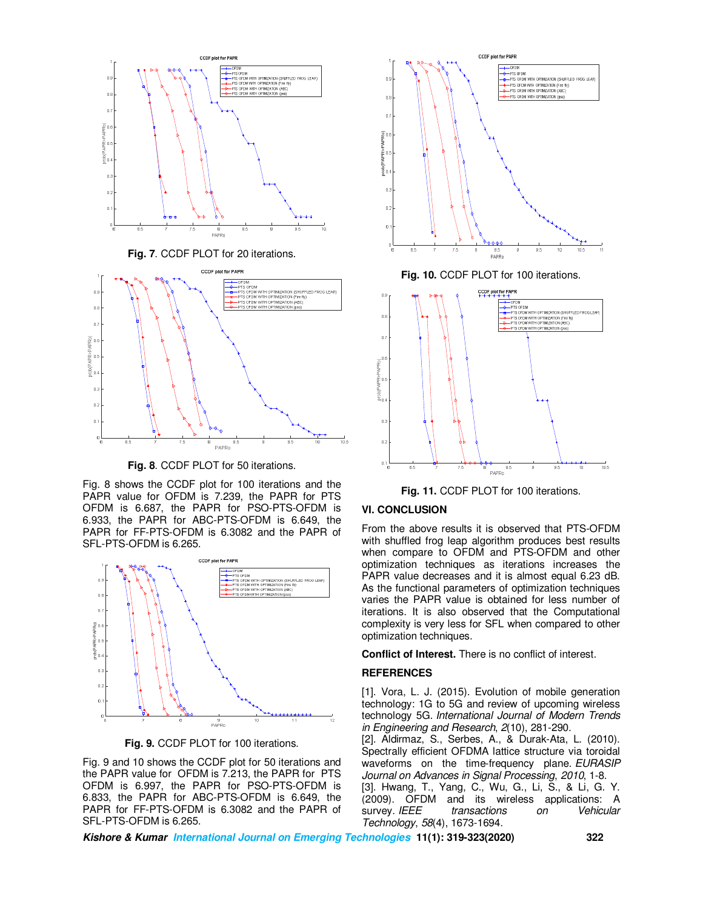



**Fig. 8**. CCDF PLOT for 50 iterations.

Fig. 8 shows the CCDF plot for 100 iterations and the PAPR value for OFDM is 7.239, the PAPR for PTS OFDM is 6.687, the PAPR for PSO-PTS-OFDM is 6.933, the PAPR for ABC-PTS-OFDM is 6.649, the PAPR for FF-PTS-OFDM is 6.3082 and the PAPR of SFL-PTS-OFDM is 6.265.



**Fig. 9.** CCDF PLOT for 100 iterations.

Fig. 9 and 10 shows the CCDF plot for 50 iterations and the PAPR value for OFDM is 7.213, the PAPR for PTS OFDM is 6.997, the PAPR for PSO-PTS-OFDM is 6.833, the PAPR for ABC-PTS-OFDM is 6.649, the PAPR for FF-PTS-OFDM is 6.3082 and the PAPR of SFL-PTS-OFDM is 6.265.





**Fig. 11.** CCDF PLOT for 100 iterations.

#### **VI. CONCLUSION**

From the above results it is observed that PTS-OFDM with shuffled frog leap algorithm produces best results when compare to OFDM and PTS-OFDM and other optimization techniques as iterations increases the PAPR value decreases and it is almost equal 6.23 dB. As the functional parameters of optimization techniques varies the PAPR value is obtained for less number of iterations. It is also observed that the Computational complexity is very less for SFL when compared to other optimization techniques.

**Conflict of Interest.** There is no conflict of interest.

#### **REFERENCES**

[1]. Vora, L. J. (2015). Evolution of mobile generation technology: 1G to 5G and review of upcoming wireless technology 5G. *International Journal of Modern Trends in Engineering and Research*, *2*(10), 281-290.

[2]. Aldirmaz, S., Serbes, A., & Durak-Ata, L. (2010). Spectrally efficient OFDMA lattice structure via toroidal waveforms on the time-frequency plane. *EURASIP Journal on Advances in Signal Processing*, *2010*, 1-8. [3]. Hwang, T., Yang, C., Wu, G., Li, S., & Li, G. Y.

(2009). OFDM and its wireless applications: A<br>survey IEEE transactions on Vehicular survey. *IEEE transactions on Technology*, *58*(4), 1673-1694.

**Kishore & Kumar International Journal on Emerging Technologies 11(1): 319-323(2020) 322**